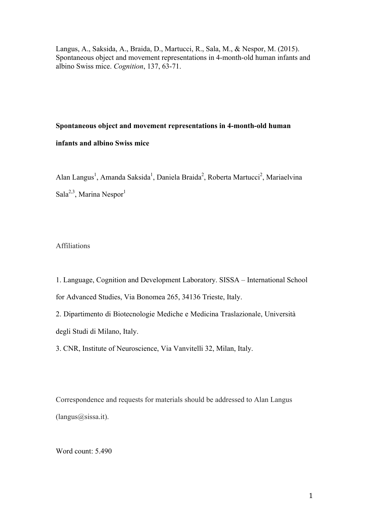Langus, A., Saksida, A., Braida, D., Martucci, R., Sala, M., & Nespor, M. (2015). Spontaneous object and movement representations in 4-month-old human infants and albino Swiss mice. *Cognition*, 137, 63-71.

# **Spontaneous object and movement representations in 4-month-old human**

## **infants and albino Swiss mice**

Alan Langus<sup>1</sup>, Amanda Saksida<sup>1</sup>, Daniela Braida<sup>2</sup>, Roberta Martucci<sup>2</sup>, Mariaelvina Sala<sup>2,3</sup>, Marina Nespor<sup>1</sup>

Affiliations

1. Language, Cognition and Development Laboratory. SISSA – International School for Advanced Studies, Via Bonomea 265, 34136 Trieste, Italy.

2. Dipartimento di Biotecnologie Mediche e Medicina Traslazionale, Università degli Studi di Milano, Italy.

3. CNR, Institute of Neuroscience, Via Vanvitelli 32, Milan, Italy.

Correspondence and requests for materials should be addressed to Alan Langus  $(langus@sissa.it).$ 

Word count: 5.490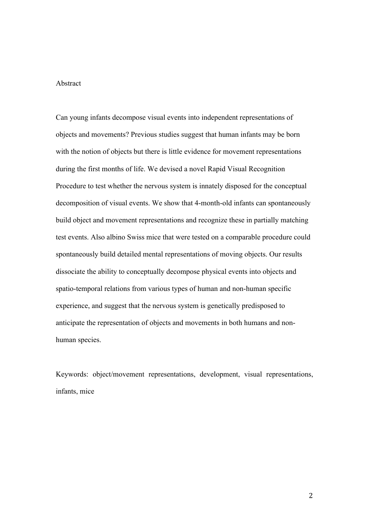#### Abstract

Can young infants decompose visual events into independent representations of objects and movements? Previous studies suggest that human infants may be born with the notion of objects but there is little evidence for movement representations during the first months of life. We devised a novel Rapid Visual Recognition Procedure to test whether the nervous system is innately disposed for the conceptual decomposition of visual events. We show that 4-month-old infants can spontaneously build object and movement representations and recognize these in partially matching test events. Also albino Swiss mice that were tested on a comparable procedure could spontaneously build detailed mental representations of moving objects. Our results dissociate the ability to conceptually decompose physical events into objects and spatio-temporal relations from various types of human and non-human specific experience, and suggest that the nervous system is genetically predisposed to anticipate the representation of objects and movements in both humans and nonhuman species.

Keywords: object/movement representations, development, visual representations, infants, mice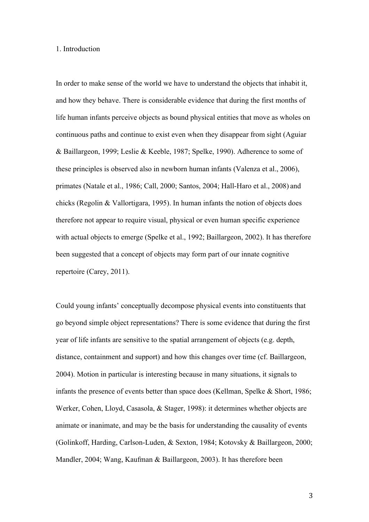#### 1. Introduction

In order to make sense of the world we have to understand the objects that inhabit it, and how they behave. There is considerable evidence that during the first months of life human infants perceive objects as bound physical entities that move as wholes on continuous paths and continue to exist even when they disappear from sight (Aguiar & Baillargeon, 1999; Leslie & Keeble, 1987; Spelke, 1990). Adherence to some of these principles is observed also in newborn human infants (Valenza et al., 2006), primates (Natale et al., 1986; Call, 2000; Santos, 2004; Hall-Haro et al., 2008) and chicks (Regolin & Vallortigara, 1995). In human infants the notion of objects does therefore not appear to require visual, physical or even human specific experience with actual objects to emerge (Spelke et al., 1992; Baillargeon, 2002). It has therefore been suggested that a concept of objects may form part of our innate cognitive repertoire (Carey, 2011).

Could young infants' conceptually decompose physical events into constituents that go beyond simple object representations? There is some evidence that during the first year of life infants are sensitive to the spatial arrangement of objects (e.g. depth, distance, containment and support) and how this changes over time (cf. Baillargeon, 2004). Motion in particular is interesting because in many situations, it signals to infants the presence of events better than space does (Kellman, Spelke & Short, 1986; Werker, Cohen, Lloyd, Casasola, & Stager, 1998): it determines whether objects are animate or inanimate, and may be the basis for understanding the causality of events (Golinkoff, Harding, Carlson-Luden, & Sexton, 1984; Kotovsky & Baillargeon, 2000; Mandler, 2004; Wang, Kaufman & Baillargeon, 2003). It has therefore been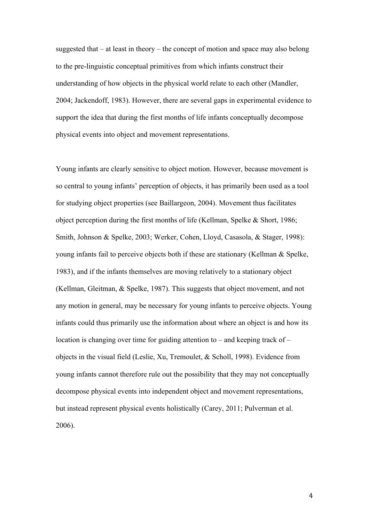suggested that – at least in theory – the concept of motion and space may also belong to the pre-linguistic conceptual primitives from which infants construct their understanding of how objects in the physical world relate to each other (Mandler, 2004; Jackendoff, 1983). However, there are several gaps in experimental evidence to support the idea that during the first months of life infants conceptually decompose physical events into object and movement representations.

Young infants are clearly sensitive to object motion. However, because movement is so central to young infants' perception of objects, it has primarily been used as a tool for studying object properties (see Baillargeon, 2004). Movement thus facilitates object perception during the first months of life (Kellman, Spelke & Short, 1986; Smith, Johnson & Spelke, 2003; Werker, Cohen, Lloyd, Casasola, & Stager, 1998): young infants fail to perceive objects both if these are stationary (Kellman & Spelke, 1983), and if the infants themselves are moving relatively to a stationary object (Kellman, Gleitman, & Spelke, 1987). This suggests that object movement, and not any motion in general, may be necessary for young infants to perceive objects. Young infants could thus primarily use the information about where an object is and how its location is changing over time for guiding attention to – and keeping track of – objects in the visual field (Leslie, Xu, Tremoulet, & Scholl, 1998). Evidence from young infants cannot therefore rule out the possibility that they may not conceptually decompose physical events into independent object and movement representations, but instead represent physical events holistically (Carey, 2011; Pulverman et al. 2006).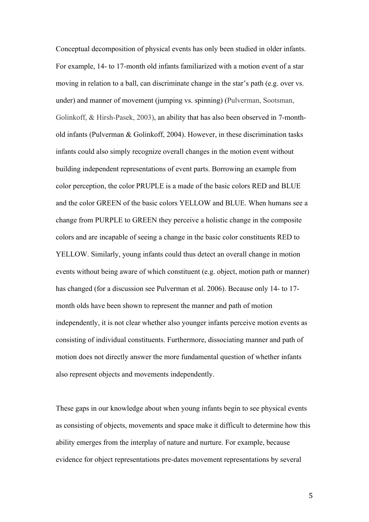Conceptual decomposition of physical events has only been studied in older infants. For example, 14- to 17-month old infants familiarized with a motion event of a star moving in relation to a ball, can discriminate change in the star's path (e.g. over vs. under) and manner of movement (jumping vs. spinning) (Pulverman, Sootsman, Golinkoff, & Hirsh-Pasek, 2003), an ability that has also been observed in 7-monthold infants (Pulverman & Golinkoff, 2004). However, in these discrimination tasks infants could also simply recognize overall changes in the motion event without building independent representations of event parts. Borrowing an example from color perception, the color PRUPLE is a made of the basic colors RED and BLUE and the color GREEN of the basic colors YELLOW and BLUE. When humans see a change from PURPLE to GREEN they perceive a holistic change in the composite colors and are incapable of seeing a change in the basic color constituents RED to YELLOW. Similarly, young infants could thus detect an overall change in motion events without being aware of which constituent (e.g. object, motion path or manner) has changed (for a discussion see Pulverman et al. 2006). Because only 14- to 17 month olds have been shown to represent the manner and path of motion independently, it is not clear whether also younger infants perceive motion events as consisting of individual constituents. Furthermore, dissociating manner and path of motion does not directly answer the more fundamental question of whether infants also represent objects and movements independently.

These gaps in our knowledge about when young infants begin to see physical events as consisting of objects, movements and space make it difficult to determine how this ability emerges from the interplay of nature and nurture. For example, because evidence for object representations pre-dates movement representations by several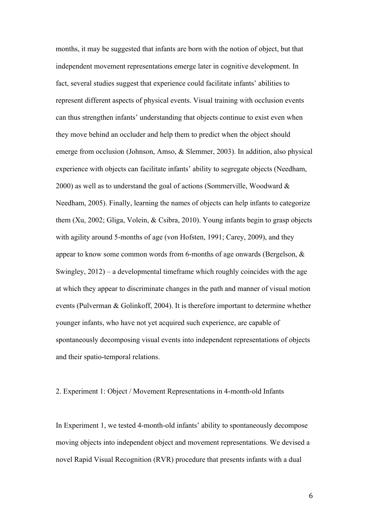months, it may be suggested that infants are born with the notion of object, but that independent movement representations emerge later in cognitive development. In fact, several studies suggest that experience could facilitate infants' abilities to represent different aspects of physical events. Visual training with occlusion events can thus strengthen infants' understanding that objects continue to exist even when they move behind an occluder and help them to predict when the object should emerge from occlusion (Johnson, Amso, & Slemmer, 2003). In addition, also physical experience with objects can facilitate infants' ability to segregate objects (Needham, 2000) as well as to understand the goal of actions (Sommerville, Woodward & Needham, 2005). Finally, learning the names of objects can help infants to categorize them (Xu, 2002; Gliga, Volein, & Csibra, 2010). Young infants begin to grasp objects with agility around 5-months of age (von Hofsten, 1991; Carey, 2009), and they appear to know some common words from 6-months of age onwards (Bergelson, & Swingley, 2012) – a developmental timeframe which roughly coincides with the age at which they appear to discriminate changes in the path and manner of visual motion events (Pulverman & Golinkoff, 2004). It is therefore important to determine whether younger infants, who have not yet acquired such experience, are capable of spontaneously decomposing visual events into independent representations of objects and their spatio-temporal relations.

### 2. Experiment 1: Object / Movement Representations in 4-month-old Infants

In Experiment 1, we tested 4-month-old infants' ability to spontaneously decompose moving objects into independent object and movement representations. We devised a novel Rapid Visual Recognition (RVR) procedure that presents infants with a dual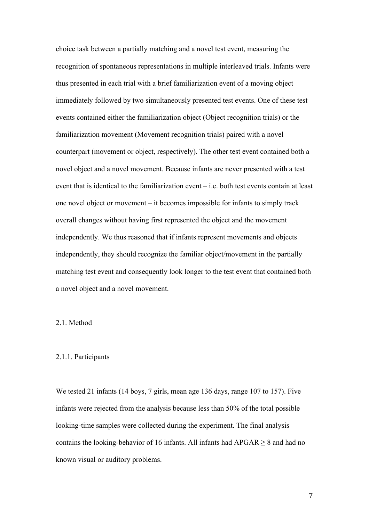choice task between a partially matching and a novel test event, measuring the recognition of spontaneous representations in multiple interleaved trials. Infants were thus presented in each trial with a brief familiarization event of a moving object immediately followed by two simultaneously presented test events. One of these test events contained either the familiarization object (Object recognition trials) or the familiarization movement (Movement recognition trials) paired with a novel counterpart (movement or object, respectively). The other test event contained both a novel object and a novel movement. Because infants are never presented with a test event that is identical to the familiarization event – i.e. both test events contain at least one novel object or movement – it becomes impossible for infants to simply track overall changes without having first represented the object and the movement independently. We thus reasoned that if infants represent movements and objects independently, they should recognize the familiar object/movement in the partially matching test event and consequently look longer to the test event that contained both a novel object and a novel movement.

## 2.1. Method

#### 2.1.1. Participants

We tested 21 infants (14 boys, 7 girls, mean age 136 days, range 107 to 157). Five infants were rejected from the analysis because less than 50% of the total possible looking-time samples were collected during the experiment. The final analysis contains the looking-behavior of 16 infants. All infants had  $APGAR \geq 8$  and had no known visual or auditory problems.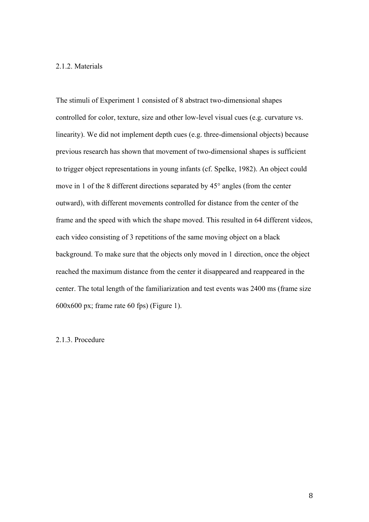## 2.1.2. Materials

The stimuli of Experiment 1 consisted of 8 abstract two-dimensional shapes controlled for color, texture, size and other low-level visual cues (e.g. curvature vs. linearity). We did not implement depth cues (e.g. three-dimensional objects) because previous research has shown that movement of two-dimensional shapes is sufficient to trigger object representations in young infants (cf. Spelke, 1982). An object could move in 1 of the 8 different directions separated by 45° angles (from the center outward), with different movements controlled for distance from the center of the frame and the speed with which the shape moved. This resulted in 64 different videos, each video consisting of 3 repetitions of the same moving object on a black background. To make sure that the objects only moved in 1 direction, once the object reached the maximum distance from the center it disappeared and reappeared in the center. The total length of the familiarization and test events was 2400 ms (frame size 600x600 px; frame rate 60 fps) (Figure 1).

### 2.1.3. Procedure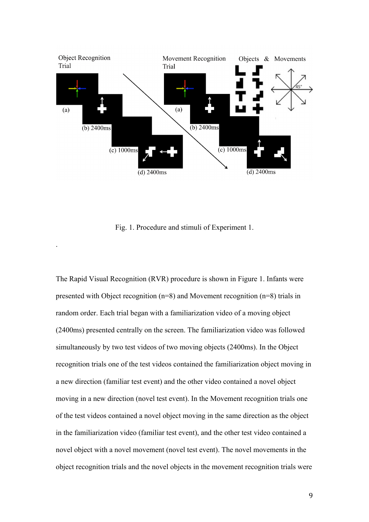

Fig. 1. Procedure and stimuli of Experiment 1.

.

The Rapid Visual Recognition (RVR) procedure is shown in Figure 1. Infants were presented with Object recognition (n=8) and Movement recognition (n=8) trials in random order. Each trial began with a familiarization video of a moving object (2400ms) presented centrally on the screen. The familiarization video was followed simultaneously by two test videos of two moving objects (2400ms). In the Object recognition trials one of the test videos contained the familiarization object moving in a new direction (familiar test event) and the other video contained a novel object moving in a new direction (novel test event). In the Movement recognition trials one of the test videos contained a novel object moving in the same direction as the object in the familiarization video (familiar test event), and the other test video contained a novel object with a novel movement (novel test event). The novel movements in the object recognition trials and the novel objects in the movement recognition trials were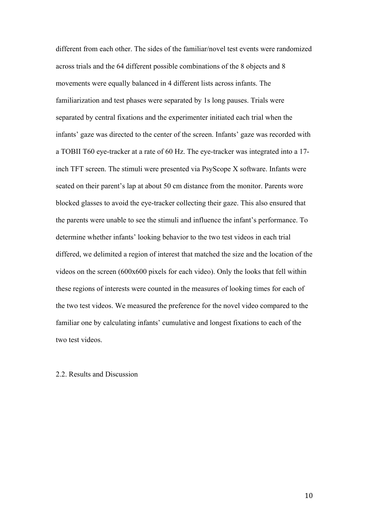different from each other. The sides of the familiar/novel test events were randomized across trials and the 64 different possible combinations of the 8 objects and 8 movements were equally balanced in 4 different lists across infants. The familiarization and test phases were separated by 1s long pauses. Trials were separated by central fixations and the experimenter initiated each trial when the infants' gaze was directed to the center of the screen. Infants' gaze was recorded with a TOBII T60 eye-tracker at a rate of 60 Hz. The eye-tracker was integrated into a 17 inch TFT screen. The stimuli were presented via PsyScope X software. Infants were seated on their parent's lap at about 50 cm distance from the monitor. Parents wore blocked glasses to avoid the eye-tracker collecting their gaze. This also ensured that the parents were unable to see the stimuli and influence the infant's performance. To determine whether infants' looking behavior to the two test videos in each trial differed, we delimited a region of interest that matched the size and the location of the videos on the screen (600x600 pixels for each video). Only the looks that fell within these regions of interests were counted in the measures of looking times for each of the two test videos. We measured the preference for the novel video compared to the familiar one by calculating infants' cumulative and longest fixations to each of the two test videos.

#### 2.2. Results and Discussion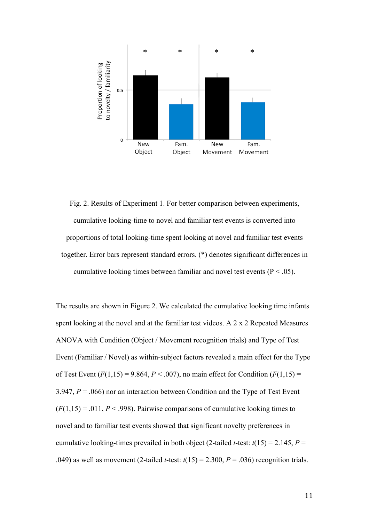

Fig. 2. Results of Experiment 1. For better comparison between experiments, cumulative looking-time to novel and familiar test events is converted into proportions of total looking-time spent looking at novel and familiar test events together. Error bars represent standard errors. (\*) denotes significant differences in cumulative looking times between familiar and novel test events ( $P < .05$ ).

The results are shown in Figure 2. We calculated the cumulative looking time infants spent looking at the novel and at the familiar test videos. A 2 x 2 Repeated Measures ANOVA with Condition (Object / Movement recognition trials) and Type of Test Event (Familiar / Novel) as within-subject factors revealed a main effect for the Type of Test Event  $(F(1,15) = 9.864, P < .007)$ , no main effect for Condition  $(F(1,15) = 0.864, P < .007)$ 3.947,  $P = .066$ ) nor an interaction between Condition and the Type of Test Event  $(F(1,15) = .011, P < .998)$ . Pairwise comparisons of cumulative looking times to novel and to familiar test events showed that significant novelty preferences in cumulative looking-times prevailed in both object (2-tailed *t*-test:  $t(15) = 2.145$ ,  $P =$ .049) as well as movement (2-tailed *t*-test:  $t(15) = 2.300$ ,  $P = .036$ ) recognition trials.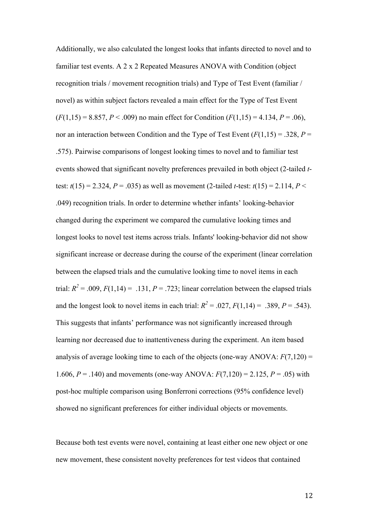Additionally, we also calculated the longest looks that infants directed to novel and to familiar test events. A 2 x 2 Repeated Measures ANOVA with Condition (object recognition trials / movement recognition trials) and Type of Test Event (familiar / novel) as within subject factors revealed a main effect for the Type of Test Event  $(F(1,15) = 8.857, P < .009)$  no main effect for Condition  $(F(1,15) = 4.134, P = .06)$ , nor an interaction between Condition and the Type of Test Event  $(F(1,15) = .328, P =$ .575). Pairwise comparisons of longest looking times to novel and to familiar test events showed that significant novelty preferences prevailed in both object (2-tailed *t*test:  $t(15) = 2.324$ ,  $P = .035$ ) as well as movement (2-tailed *t*-test:  $t(15) = 2.114$ ,  $P <$ .049) recognition trials. In order to determine whether infants' looking-behavior changed during the experiment we compared the cumulative looking times and longest looks to novel test items across trials. Infants' looking-behavior did not show significant increase or decrease during the course of the experiment (linear correlation between the elapsed trials and the cumulative looking time to novel items in each trial:  $R^2 = .009$ ,  $F(1,14) = .131$ ,  $P = .723$ ; linear correlation between the elapsed trials and the longest look to novel items in each trial:  $R^2 = .027$ ,  $F(1,14) = .389$ ,  $P = .543$ ). This suggests that infants' performance was not significantly increased through learning nor decreased due to inattentiveness during the experiment. An item based analysis of average looking time to each of the objects (one-way ANOVA: *F*(7,120) = 1.606, *P* = .140) and movements (one-way ANOVA: *F*(7,120) = 2.125, *P* = .05) with post-hoc multiple comparison using Bonferroni corrections (95% confidence level) showed no significant preferences for either individual objects or movements.

Because both test events were novel, containing at least either one new object or one new movement, these consistent novelty preferences for test videos that contained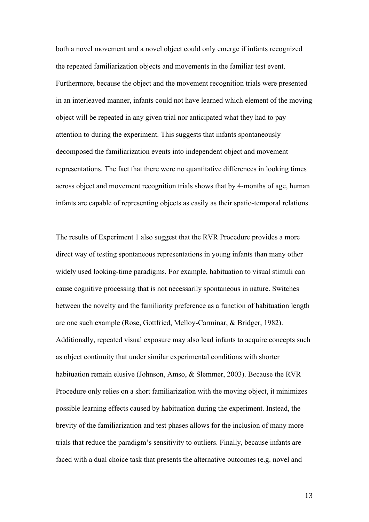both a novel movement and a novel object could only emerge if infants recognized the repeated familiarization objects and movements in the familiar test event. Furthermore, because the object and the movement recognition trials were presented in an interleaved manner, infants could not have learned which element of the moving object will be repeated in any given trial nor anticipated what they had to pay attention to during the experiment. This suggests that infants spontaneously decomposed the familiarization events into independent object and movement representations. The fact that there were no quantitative differences in looking times across object and movement recognition trials shows that by 4-months of age, human infants are capable of representing objects as easily as their spatio-temporal relations.

The results of Experiment 1 also suggest that the RVR Procedure provides a more direct way of testing spontaneous representations in young infants than many other widely used looking-time paradigms. For example, habituation to visual stimuli can cause cognitive processing that is not necessarily spontaneous in nature. Switches between the novelty and the familiarity preference as a function of habituation length are one such example (Rose, Gottfried, Melloy-Carminar, & Bridger, 1982). Additionally, repeated visual exposure may also lead infants to acquire concepts such as object continuity that under similar experimental conditions with shorter habituation remain elusive (Johnson, Amso, & Slemmer, 2003). Because the RVR Procedure only relies on a short familiarization with the moving object, it minimizes possible learning effects caused by habituation during the experiment. Instead, the brevity of the familiarization and test phases allows for the inclusion of many more trials that reduce the paradigm's sensitivity to outliers. Finally, because infants are faced with a dual choice task that presents the alternative outcomes (e.g. novel and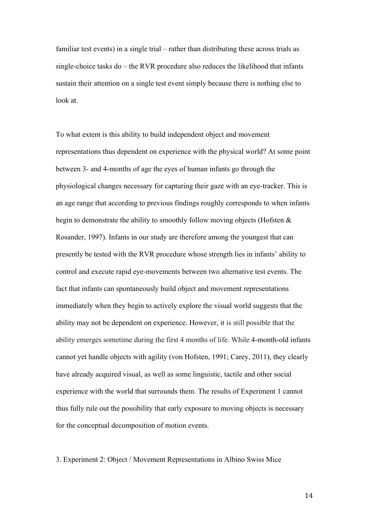familiar test events) in a single trial – rather than distributing these across trials as single-choice tasks do – the RVR procedure also reduces the likelihood that infants sustain their attention on a single test event simply because there is nothing else to look at.

To what extent is this ability to build independent object and movement representations thus dependent on experience with the physical world? At some point between 3- and 4-months of age the eyes of human infants go through the physiological changes necessary for capturing their gaze with an eye-tracker. This is an age range that according to previous findings roughly corresponds to when infants begin to demonstrate the ability to smoothly follow moving objects (Hofsten & Rosander, 1997). Infants in our study are therefore among the youngest that can presently be tested with the RVR procedure whose strength lies in infants' ability to control and execute rapid eye-movements between two alternative test events. The fact that infants can spontaneously build object and movement representations immediately when they begin to actively explore the visual world suggests that the ability may not be dependent on experience. However, it is still possible that the ability emerges sometime during the first 4 months of life. While 4-month-old infants cannot yet handle objects with agility (von Hofsten, 1991; Carey, 2011), they clearly have already acquired visual, as well as some linguistic, tactile and other social experience with the world that surrounds them. The results of Experiment 1 cannot thus fully rule out the possibility that early exposure to moving objects is necessary for the conceptual decomposition of motion events.

## 3. Experiment 2: Object / Movement Representations in Albino Swiss Mice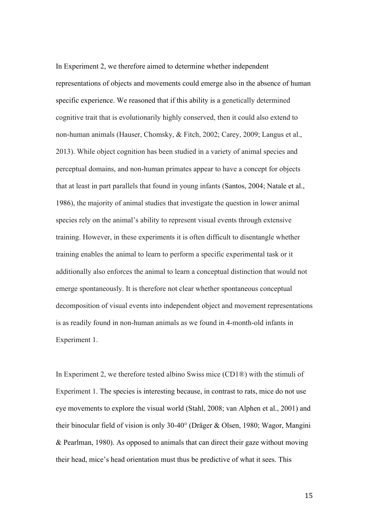In Experiment 2, we therefore aimed to determine whether independent representations of objects and movements could emerge also in the absence of human specific experience. We reasoned that if this ability is a genetically determined cognitive trait that is evolutionarily highly conserved, then it could also extend to non-human animals (Hauser, Chomsky, & Fitch, 2002; Carey, 2009; Langus et al., 2013). While object cognition has been studied in a variety of animal species and perceptual domains, and non-human primates appear to have a concept for objects that at least in part parallels that found in young infants (Santos, 2004; Natale et al., 1986), the majority of animal studies that investigate the question in lower animal species rely on the animal's ability to represent visual events through extensive training. However, in these experiments it is often difficult to disentangle whether training enables the animal to learn to perform a specific experimental task or it additionally also enforces the animal to learn a conceptual distinction that would not emerge spontaneously. It is therefore not clear whether spontaneous conceptual decomposition of visual events into independent object and movement representations is as readily found in non-human animals as we found in 4-month-old infants in Experiment 1.

In Experiment 2, we therefore tested albino Swiss mice (CD1®) with the stimuli of Experiment 1. The species is interesting because, in contrast to rats, mice do not use eye movements to explore the visual world (Stahl, 2008; van Alphen et al., 2001) and their binocular field of vision is only 30-40° (Dräger & Olsen, 1980; Wagor, Mangini & Pearlman, 1980). As opposed to animals that can direct their gaze without moving their head, mice's head orientation must thus be predictive of what it sees. This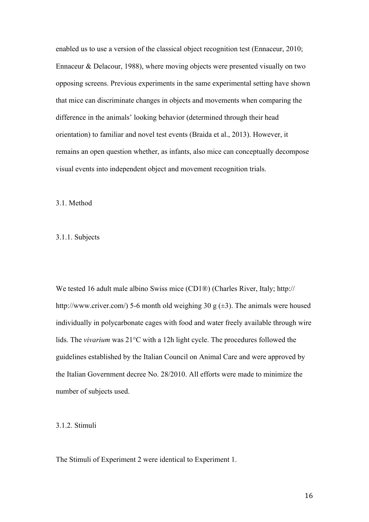enabled us to use a version of the classical object recognition test (Ennaceur, 2010; Ennaceur & Delacour, 1988), where moving objects were presented visually on two opposing screens. Previous experiments in the same experimental setting have shown that mice can discriminate changes in objects and movements when comparing the difference in the animals' looking behavior (determined through their head orientation) to familiar and novel test events (Braida et al., 2013). However, it remains an open question whether, as infants, also mice can conceptually decompose visual events into independent object and movement recognition trials.

3.1. Method

3.1.1. Subjects

We tested 16 adult male albino Swiss mice (CD1®) (Charles River, Italy; http:// http://www.criver.com/) 5-6 month old weighing 30 g  $(\pm 3)$ . The animals were housed individually in polycarbonate cages with food and water freely available through wire lids. The *vivarium* was 21°C with a 12h light cycle. The procedures followed the guidelines established by the Italian Council on Animal Care and were approved by the Italian Government decree No. 28/2010. All efforts were made to minimize the number of subjects used.

# 3.1.2. Stimuli

The Stimuli of Experiment 2 were identical to Experiment 1.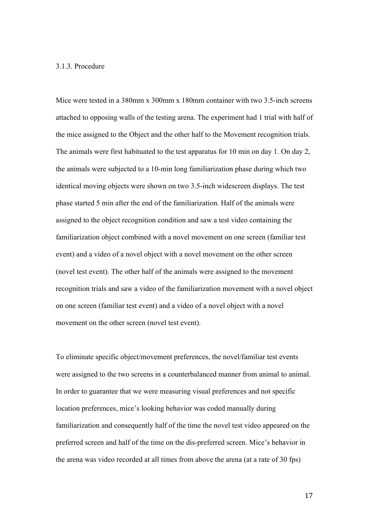#### 3.1.3. Procedure

Mice were tested in a 380mm x 300mm x 180mm container with two 3.5-inch screens attached to opposing walls of the testing arena. The experiment had 1 trial with half of the mice assigned to the Object and the other half to the Movement recognition trials. The animals were first habituated to the test apparatus for 10 min on day 1. On day 2, the animals were subjected to a 10-min long familiarization phase during which two identical moving objects were shown on two 3.5-inch widescreen displays. The test phase started 5 min after the end of the familiarization. Half of the animals were assigned to the object recognition condition and saw a test video containing the familiarization object combined with a novel movement on one screen (familiar test event) and a video of a novel object with a novel movement on the other screen (novel test event). The other half of the animals were assigned to the movement recognition trials and saw a video of the familiarization movement with a novel object on one screen (familiar test event) and a video of a novel object with a novel movement on the other screen (novel test event).

To eliminate specific object/movement preferences, the novel/familiar test events were assigned to the two screens in a counterbalanced manner from animal to animal. In order to guarantee that we were measuring visual preferences and not specific location preferences, mice's looking behavior was coded manually during familiarization and consequently half of the time the novel test video appeared on the preferred screen and half of the time on the dis-preferred screen. Mice's behavior in the arena was video recorded at all times from above the arena (at a rate of 30 fps)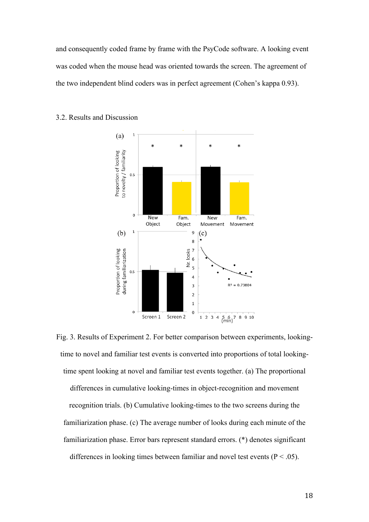and consequently coded frame by frame with the PsyCode software. A looking event was coded when the mouse head was oriented towards the screen. The agreement of the two independent blind coders was in perfect agreement (Cohen's kappa 0.93).



#### 3.2. Results and Discussion

Fig. 3. Results of Experiment 2. For better comparison between experiments, lookingtime to novel and familiar test events is converted into proportions of total lookingtime spent looking at novel and familiar test events together. (a) The proportional

differences in cumulative looking-times in object-recognition and movement recognition trials. (b) Cumulative looking-times to the two screens during the familiarization phase. (c) The average number of looks during each minute of the familiarization phase. Error bars represent standard errors. (\*) denotes significant differences in looking times between familiar and novel test events ( $P < .05$ ).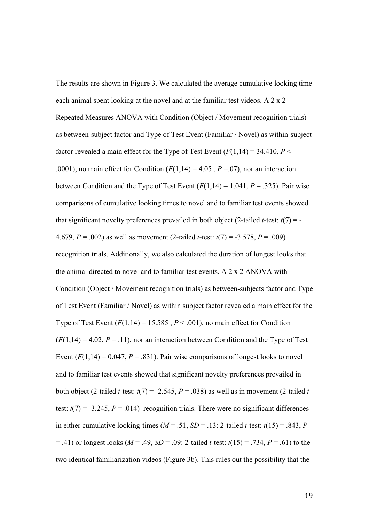The results are shown in Figure 3. We calculated the average cumulative looking time each animal spent looking at the novel and at the familiar test videos. A 2 x 2 Repeated Measures ANOVA with Condition (Object / Movement recognition trials) as between-subject factor and Type of Test Event (Familiar / Novel) as within-subject factor revealed a main effect for the Type of Test Event  $(F(1,14) = 34.410, P <$ .0001), no main effect for Condition  $(F(1,14) = 4.05, P = .07)$ , nor an interaction between Condition and the Type of Test Event  $(F(1,14) = 1.041, P = .325)$ . Pair wise comparisons of cumulative looking times to novel and to familiar test events showed that significant novelty preferences prevailed in both object (2-tailed *t*-test:  $t(7) = -$ 4.679, *P* = .002) as well as movement (2-tailed *t*-test: *t*(7) = -3.578, *P* = .009) recognition trials. Additionally, we also calculated the duration of longest looks that the animal directed to novel and to familiar test events. A 2 x 2 ANOVA with Condition (Object / Movement recognition trials) as between-subjects factor and Type of Test Event (Familiar / Novel) as within subject factor revealed a main effect for the Type of Test Event  $(F(1,14) = 15.585, P < .001)$ , no main effect for Condition  $(F(1,14) = 4.02, P = .11)$ , nor an interaction between Condition and the Type of Test Event  $(F(1,14) = 0.047, P = .831)$ . Pair wise comparisons of longest looks to novel and to familiar test events showed that significant novelty preferences prevailed in both object (2-tailed *t*-test:  $t(7) = -2.545$ ,  $P = .038$ ) as well as in movement (2-tailed *t*test:  $t(7) = -3.245$ ,  $P = .014$ ) recognition trials. There were no significant differences in either cumulative looking-times ( $M = .51$ ,  $SD = .13$ : 2-tailed *t*-test:  $t(15) = .843$ , *P* = .41) or longest looks (*M* = .49, *SD* = .09: 2-tailed *t*-test: *t*(15) = .734, *P* = .61) to the two identical familiarization videos (Figure 3b). This rules out the possibility that the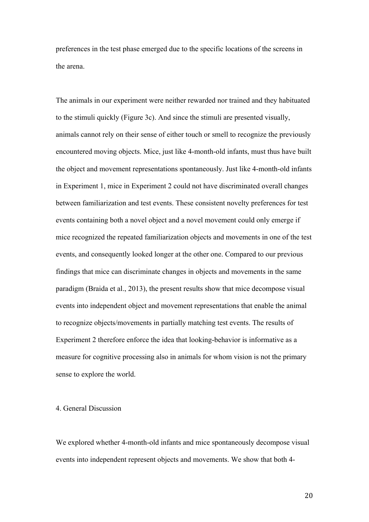preferences in the test phase emerged due to the specific locations of the screens in the arena.

The animals in our experiment were neither rewarded nor trained and they habituated to the stimuli quickly (Figure 3c). And since the stimuli are presented visually, animals cannot rely on their sense of either touch or smell to recognize the previously encountered moving objects. Mice, just like 4-month-old infants, must thus have built the object and movement representations spontaneously. Just like 4-month-old infants in Experiment 1, mice in Experiment 2 could not have discriminated overall changes between familiarization and test events. These consistent novelty preferences for test events containing both a novel object and a novel movement could only emerge if mice recognized the repeated familiarization objects and movements in one of the test events, and consequently looked longer at the other one. Compared to our previous findings that mice can discriminate changes in objects and movements in the same paradigm (Braida et al., 2013), the present results show that mice decompose visual events into independent object and movement representations that enable the animal to recognize objects/movements in partially matching test events. The results of Experiment 2 therefore enforce the idea that looking-behavior is informative as a measure for cognitive processing also in animals for whom vision is not the primary sense to explore the world.

4. General Discussion

We explored whether 4-month-old infants and mice spontaneously decompose visual events into independent represent objects and movements. We show that both 4-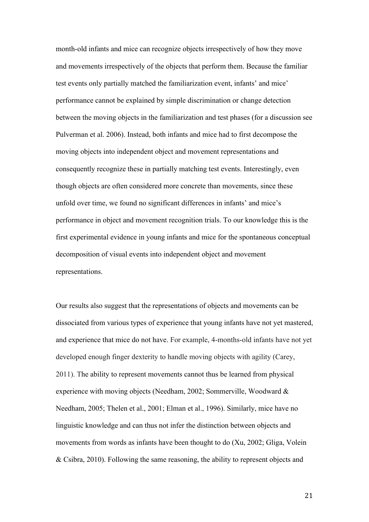month-old infants and mice can recognize objects irrespectively of how they move and movements irrespectively of the objects that perform them. Because the familiar test events only partially matched the familiarization event, infants' and mice' performance cannot be explained by simple discrimination or change detection between the moving objects in the familiarization and test phases (for a discussion see Pulverman et al. 2006). Instead, both infants and mice had to first decompose the moving objects into independent object and movement representations and consequently recognize these in partially matching test events. Interestingly, even though objects are often considered more concrete than movements, since these unfold over time, we found no significant differences in infants' and mice's performance in object and movement recognition trials. To our knowledge this is the first experimental evidence in young infants and mice for the spontaneous conceptual decomposition of visual events into independent object and movement representations.

Our results also suggest that the representations of objects and movements can be dissociated from various types of experience that young infants have not yet mastered, and experience that mice do not have. For example, 4-months-old infants have not yet developed enough finger dexterity to handle moving objects with agility (Carey, 2011). The ability to represent movements cannot thus be learned from physical experience with moving objects (Needham, 2002; Sommerville, Woodward & Needham, 2005; Thelen et al., 2001; Elman et al., 1996). Similarly, mice have no linguistic knowledge and can thus not infer the distinction between objects and movements from words as infants have been thought to do (Xu, 2002; Gliga, Volein & Csibra, 2010). Following the same reasoning, the ability to represent objects and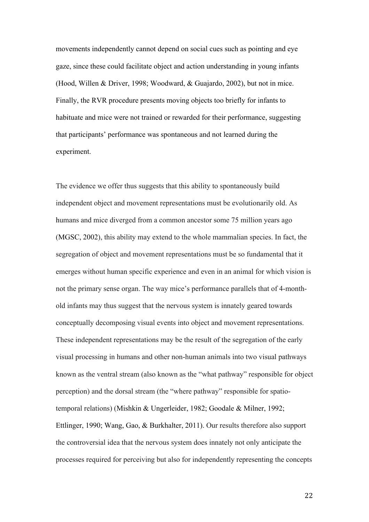movements independently cannot depend on social cues such as pointing and eye gaze, since these could facilitate object and action understanding in young infants (Hood, Willen & Driver, 1998; Woodward, & Guajardo, 2002), but not in mice. Finally, the RVR procedure presents moving objects too briefly for infants to habituate and mice were not trained or rewarded for their performance, suggesting that participants' performance was spontaneous and not learned during the experiment.

The evidence we offer thus suggests that this ability to spontaneously build independent object and movement representations must be evolutionarily old. As humans and mice diverged from a common ancestor some 75 million years ago (MGSC, 2002), this ability may extend to the whole mammalian species. In fact, the segregation of object and movement representations must be so fundamental that it emerges without human specific experience and even in an animal for which vision is not the primary sense organ. The way mice's performance parallels that of 4-monthold infants may thus suggest that the nervous system is innately geared towards conceptually decomposing visual events into object and movement representations. These independent representations may be the result of the segregation of the early visual processing in humans and other non-human animals into two visual pathways known as the ventral stream (also known as the "what pathway" responsible for object perception) and the dorsal stream (the "where pathway" responsible for spatiotemporal relations) (Mishkin & Ungerleider, 1982; Goodale & Milner, 1992; Ettlinger, 1990; Wang, Gao, & Burkhalter, 2011). Our results therefore also support the controversial idea that the nervous system does innately not only anticipate the processes required for perceiving but also for independently representing the concepts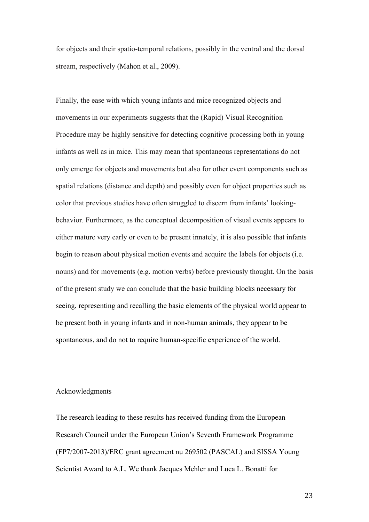for objects and their spatio-temporal relations, possibly in the ventral and the dorsal stream, respectively (Mahon et al., 2009).

Finally, the ease with which young infants and mice recognized objects and movements in our experiments suggests that the (Rapid) Visual Recognition Procedure may be highly sensitive for detecting cognitive processing both in young infants as well as in mice. This may mean that spontaneous representations do not only emerge for objects and movements but also for other event components such as spatial relations (distance and depth) and possibly even for object properties such as color that previous studies have often struggled to discern from infants' lookingbehavior. Furthermore, as the conceptual decomposition of visual events appears to either mature very early or even to be present innately, it is also possible that infants begin to reason about physical motion events and acquire the labels for objects (i.e. nouns) and for movements (e.g. motion verbs) before previously thought. On the basis of the present study we can conclude that the basic building blocks necessary for seeing, representing and recalling the basic elements of the physical world appear to be present both in young infants and in non-human animals, they appear to be spontaneous, and do not to require human-specific experience of the world.

### Acknowledgments

The research leading to these results has received funding from the European Research Council under the European Union's Seventh Framework Programme (FP7/2007-2013)/ERC grant agreement nu 269502 (PASCAL) and SISSA Young Scientist Award to A.L. We thank Jacques Mehler and Luca L. Bonatti for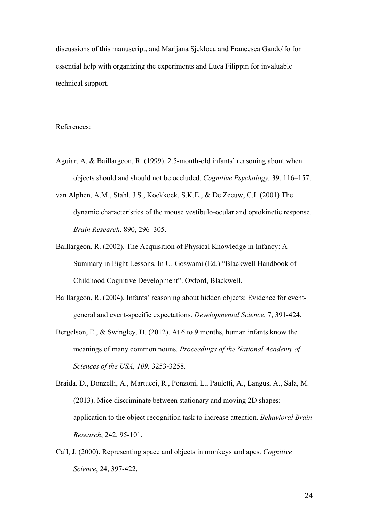discussions of this manuscript, and Marijana Sjekloca and Francesca Gandolfo for essential help with organizing the experiments and Luca Filippin for invaluable technical support.

### References:

- Aguiar, A. & Baillargeon, R (1999). 2.5-month-old infants' reasoning about when objects should and should not be occluded. *Cognitive Psychology,* 39, 116–157.
- van Alphen, A.M., Stahl, J.S., Koekkoek, S.K.E., & De Zeeuw, C.I. (2001) The dynamic characteristics of the mouse vestibulo-ocular and optokinetic response. *Brain Research,* 890, 296–305.
- Baillargeon, R. (2002). The Acquisition of Physical Knowledge in Infancy: A Summary in Eight Lessons. In U. Goswami (Ed.) "Blackwell Handbook of Childhood Cognitive Development". Oxford, Blackwell.
- Baillargeon, R. (2004). Infants' reasoning about hidden objects: Evidence for eventgeneral and event-specific expectations. *Developmental Science*, 7, 391-424.
- Bergelson, E., & Swingley, D. (2012). At 6 to 9 months, human infants know the meanings of many common nouns. *Proceedings of the National Academy of Sciences of the USA, 109,* 3253-3258.

Braida. D., Donzelli, A., Martucci, R., Ponzoni, L., Pauletti, A., Langus, A., Sala, M. (2013). Mice discriminate between stationary and moving 2D shapes: application to the object recognition task to increase attention. *Behavioral Brain Research*, 242, 95-101.

Call, J. (2000). Representing space and objects in monkeys and apes. *Cognitive Science*, 24, 397-422.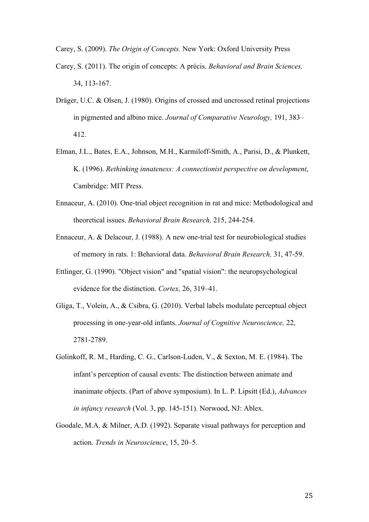Carey, S. (2009). *The Origin of Concepts.* New York: Oxford University Press

- Carey, S. (2011). The origin of concepts: A précis. *Behavioral and Brain Sciences,* 34, 113-167.
- Dräger, U.C. & Olsen, J. (1980). Origins of crossed and uncrossed retinal projections in pigmented and albino mice. *Journal of Comparative Neurology,* 191, 383– 412.
- Elman, J.L., Bates, E.A., Johnson, M.H., Karmiloff-Smith, A., Parisi, D., & Plunkett, K. (1996). *Rethinking innateness: A connectionist perspective on development*, Cambridge: MIT Press.
- Ennaceur, A. (2010). One-trial object recognition in rat and mice: Methodological and theoretical issues. *Behavioral Brain Research,* 215, 244-254.
- Ennaceur, A. & Delacour, J. (1988). A new one-trial test for neurobiological studies of memory in rats. 1: Behavioral data. *Behavioral Brain Research,* 31, 47-59.
- Ettlinger, G. (1990). "Object vision" and "spatial vision": the neuropsychological evidence for the distinction. *Cortex,* 26, 319–41.
- Gliga, T., Volein, A., & Csibra, G. (2010). Verbal labels modulate perceptual object processing in one-year-old infants. *Journal of Cognitive Neuroscience,* 22, 2781-2789.
- Golinkoff, R. M., Harding, C. G., Carlson-Luden, V., & Sexton, M. E. (1984). The infant's perception of causal events: The distinction between animate and inanimate objects. (Part of above symposium). In L. P. Lipsitt (Ed.), *Advances in infancy research* (Vol. 3, pp. 145-151). Norwood, NJ: Ablex.
- Goodale, M.A. & Milner, A.D. (1992). Separate visual pathways for perception and action. *Trends in Neuroscience*, 15, 20–5.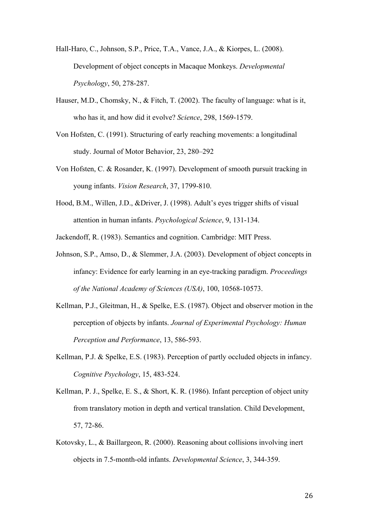- Hall-Haro, C., Johnson, S.P., Price, T.A., Vance, J.A., & Kiorpes, L. (2008). Development of object concepts in Macaque Monkeys. *Developmental Psychology*, 50, 278-287.
- Hauser, M.D., Chomsky, N., & Fitch, T. (2002). The faculty of language: what is it, who has it, and how did it evolve? *Science*, 298, 1569-1579.
- Von Hofsten, C. (1991). Structuring of early reaching movements: a longitudinal study. Journal of Motor Behavior, 23, 280–292
- Von Hofsten, C. & Rosander, K. (1997). Development of smooth pursuit tracking in young infants. *Vision Research*, 37, 1799-810.
- Hood, B.M., Willen, J.D., &Driver, J. (1998). Adult's eyes trigger shifts of visual attention in human infants. *Psychological Science*, 9, 131-134.

Jackendoff, R. (1983). Semantics and cognition. Cambridge: MIT Press.

- Johnson, S.P., Amso, D., & Slemmer, J.A. (2003). Development of object concepts in infancy: Evidence for early learning in an eye-tracking paradigm. *Proceedings of the National Academy of Sciences (USA)*, 100, 10568-10573.
- Kellman, P.J., Gleitman, H., & Spelke, E.S. (1987). Object and observer motion in the perception of objects by infants. *Journal of Experimental Psychology: Human Perception and Performance*, 13, 586-593.
- Kellman, P.J. & Spelke, E.S. (1983). Perception of partly occluded objects in infancy. *Cognitive Psychology*, 15, 483-524.
- Kellman, P. J., Spelke, E. S., & Short, K. R. (1986). Infant perception of object unity from translatory motion in depth and vertical translation. Child Development, 57, 72-86.
- Kotovsky, L., & Baillargeon, R. (2000). Reasoning about collisions involving inert objects in 7.5-month-old infants. *Developmental Science*, 3, 344-359.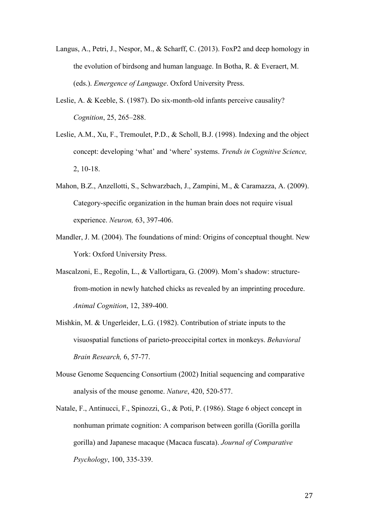- Langus, A., Petri, J., Nespor, M., & Scharff, C. (2013). FoxP2 and deep homology in the evolution of birdsong and human language. In Botha, R. & Everaert, M. (eds.). *Emergence of Language*. Oxford University Press.
- Leslie, A. & Keeble, S. (1987). Do six-month-old infants perceive causality? *Cognition*, 25, 265–288.
- Leslie, A.M., Xu, F., Tremoulet, P.D., & Scholl, B.J. (1998). Indexing and the object concept: developing 'what' and 'where' systems. *Trends in Cognitive Science,* 2, 10-18.
- Mahon, B.Z., Anzellotti, S., Schwarzbach, J., Zampini, M., & Caramazza, A. (2009). Category-specific organization in the human brain does not require visual experience. *Neuron,* 63, 397-406.
- Mandler, J. M. (2004). The foundations of mind: Origins of conceptual thought. New York: Oxford University Press.
- Mascalzoni, E., Regolin, L., & Vallortigara, G. (2009). Mom's shadow: structurefrom-motion in newly hatched chicks as revealed by an imprinting procedure. *Animal Cognition*, 12, 389-400.
- Mishkin, M. & Ungerleider, L.G. (1982). Contribution of striate inputs to the visuospatial functions of parieto-preoccipital cortex in monkeys. *Behavioral Brain Research,* 6, 57-77.
- Mouse Genome Sequencing Consortium (2002) Initial sequencing and comparative analysis of the mouse genome. *Nature*, 420, 520-577.
- Natale, F., Antinucci, F., Spinozzi, G., & Poti, P. (1986). Stage 6 object concept in nonhuman primate cognition: A comparison between gorilla (Gorilla gorilla gorilla) and Japanese macaque (Macaca fuscata). *Journal of Comparative Psychology*, 100, 335-339.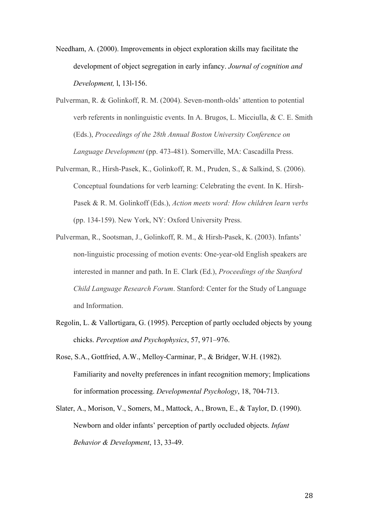- Needham, A. (2000). Improvements in object exploration skills may facilitate the development of object segregation in early infancy. *Journal of cognition and Development,* l, 13l-156.
- Pulverman, R. & Golinkoff, R. M. (2004). Seven-month-olds' attention to potential verb referents in nonlinguistic events. In A. Brugos, L. Micciulla, & C. E. Smith (Eds.), *Proceedings of the 28th Annual Boston University Conference on Language Development* (pp. 473-481). Somerville, MA: Cascadilla Press.
- Pulverman, R., Hirsh-Pasek, K., Golinkoff, R. M., Pruden, S., & Salkind, S. (2006). Conceptual foundations for verb learning: Celebrating the event. In K. Hirsh-Pasek & R. M. Golinkoff (Eds.), *Action meets word: How children learn verbs* (pp. 134-159). New York, NY: Oxford University Press.
- Pulverman, R., Sootsman, J., Golinkoff, R. M., & Hirsh-Pasek, K. (2003). Infants' non-linguistic processing of motion events: One-year-old English speakers are interested in manner and path. In E. Clark (Ed.), *Proceedings of the Stanford Child Language Research Forum*. Stanford: Center for the Study of Language and Information.
- Regolin, L. & Vallortigara, G. (1995). Perception of partly occluded objects by young chicks. *Perception and Psychophysics*, 57, 971–976.
- Rose, S.A., Gottfried, A.W., Melloy-Carminar, P., & Bridger, W.H. (1982). Familiarity and novelty preferences in infant recognition memory; Implications for information processing. *Developmental Psychology*, 18, 704-713.
- Slater, A., Morison, V., Somers, M., Mattock, A., Brown, E., & Taylor, D. (1990). Newborn and older infants' perception of partly occluded objects. *Infant Behavior & Development*, 13, 33-49.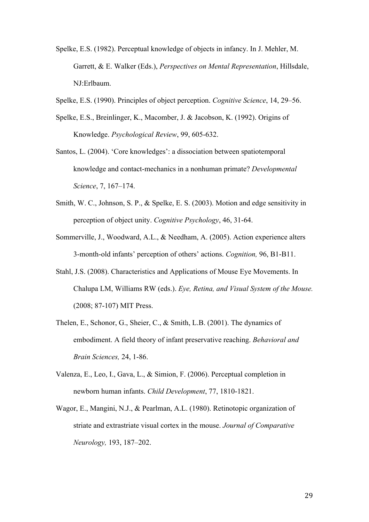Spelke, E.S. (1982). Perceptual knowledge of objects in infancy. In J. Mehler, M. Garrett, & E. Walker (Eds.), *Perspectives on Mental Representation*, Hillsdale, NJ:Erlbaum.

Spelke, E.S. (1990). Principles of object perception. *Cognitive Science*, 14, 29–56.

- Spelke, E.S., Breinlinger, K., Macomber, J. & Jacobson, K. (1992). Origins of Knowledge. *Psychological Review*, 99, 605-632.
- Santos, L. (2004). 'Core knowledges': a dissociation between spatiotemporal knowledge and contact-mechanics in a nonhuman primate? *Developmental Science*, 7, 167–174.
- Smith, W. C., Johnson, S. P., & Spelke, E. S. (2003). Motion and edge sensitivity in perception of object unity. *Cognitive Psychology*, 46, 31-64.
- Sommerville, J., Woodward, A.L., & Needham, A. (2005). Action experience alters 3-month-old infants' perception of others' actions. *Cognition,* 96, B1-B11.
- Stahl, J.S. (2008). Characteristics and Applications of Mouse Eye Movements. In Chalupa LM, Williams RW (eds.). *Eye, Retina, and Visual System of the Mouse.* (2008; 87-107) MIT Press.
- Thelen, E., Schonor, G., Sheier, C., & Smith, L.B. (2001). The dynamics of embodiment. A field theory of infant preservative reaching. *Behavioral and Brain Sciences,* 24, 1-86.
- Valenza, E., Leo, I., Gava, L., & Simion, F. (2006). Perceptual completion in newborn human infants. *Child Development*, 77, 1810-1821.
- Wagor, E., Mangini, N.J., & Pearlman, A.L. (1980). Retinotopic organization of striate and extrastriate visual cortex in the mouse. *Journal of Comparative Neurology,* 193, 187–202.